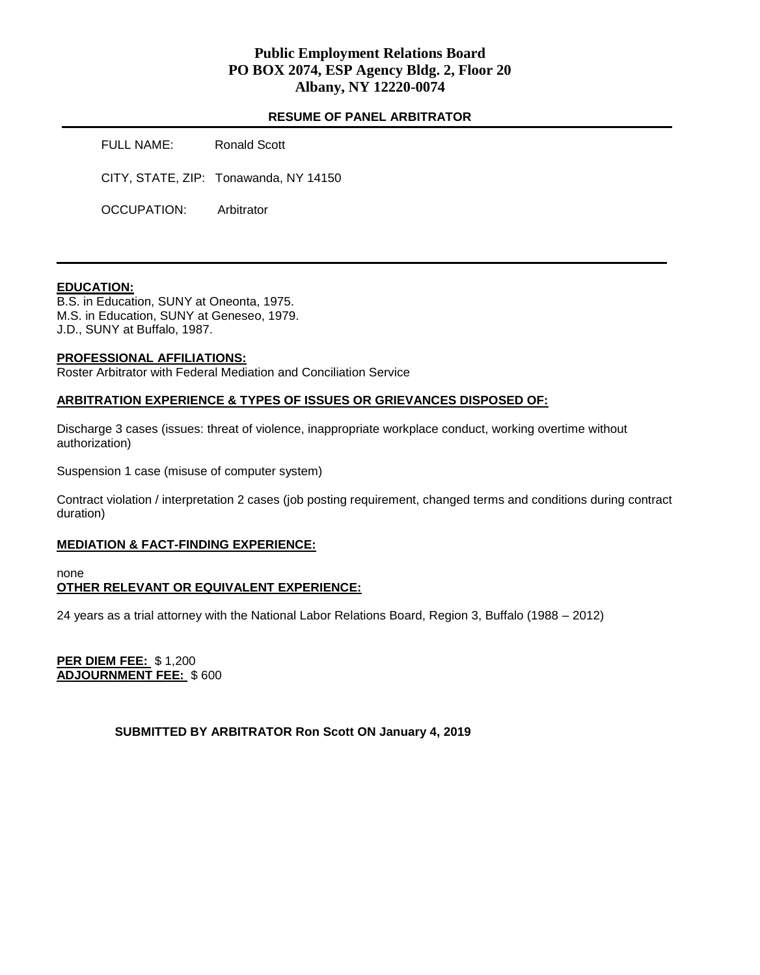# **Public Employment Relations Board PO BOX 2074, ESP Agency Bldg. 2, Floor 20 Albany, NY 12220-0074**

### **RESUME OF PANEL ARBITRATOR**

| FULL NAME:  | Ronald Scott                          |
|-------------|---------------------------------------|
|             | CITY, STATE, ZIP: Tonawanda, NY 14150 |
| OCCUPATION: | Arbitrator                            |

### **EDUCATION:**

B.S. in Education, SUNY at Oneonta, 1975. M.S. in Education, SUNY at Geneseo, 1979. J.D., SUNY at Buffalo, 1987.

### **PROFESSIONAL AFFILIATIONS:**

Roster Arbitrator with Federal Mediation and Conciliation Service

### **ARBITRATION EXPERIENCE & TYPES OF ISSUES OR GRIEVANCES DISPOSED OF:**

Discharge 3 cases (issues: threat of violence, inappropriate workplace conduct, working overtime without authorization)

Suspension 1 case (misuse of computer system)

Contract violation / interpretation 2 cases (job posting requirement, changed terms and conditions during contract duration)

#### **MEDIATION & FACT-FINDING EXPERIENCE:**

none

# **OTHER RELEVANT OR EQUIVALENT EXPERIENCE:**

24 years as a trial attorney with the National Labor Relations Board, Region 3, Buffalo (1988 – 2012)

**PER DIEM FEE:** \$ 1,200 **ADJOURNMENT FEE:** \$ 600

### **SUBMITTED BY ARBITRATOR Ron Scott ON January 4, 2019**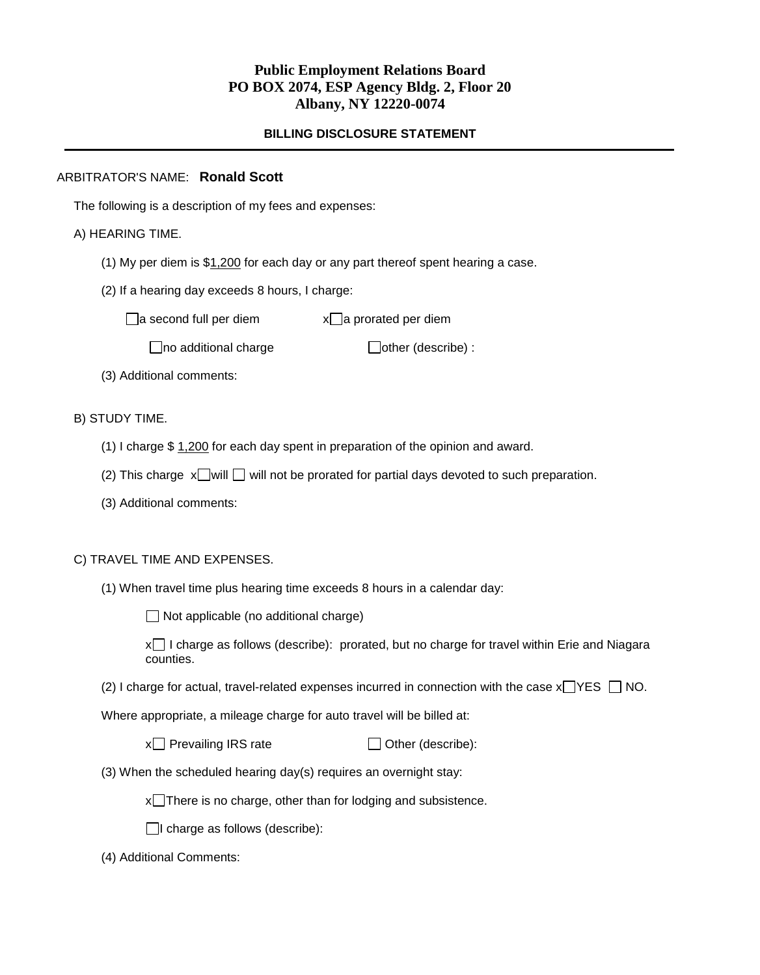# **Public Employment Relations Board PO BOX 2074, ESP Agency Bldg. 2, Floor 20 Albany, NY 12220-0074**

## **BILLING DISCLOSURE STATEMENT**

## ARBITRATOR'S NAME: **Ronald Scott**

The following is a description of my fees and expenses:

## A) HEARING TIME.

- (1) My per diem is  $$1,200$  for each day or any part thereof spent hearing a case.
- (2) If a hearing day exceeds 8 hours, I charge:

 $\Box$ a second full per diem  $x\Box$ a prorated per diem

 $\Box$ no additional charge  $\Box$ other (describe) :

(3) Additional comments:

## B) STUDY TIME.

- (1) I charge \$ 1,200 for each day spent in preparation of the opinion and award.
- (2) This charge  $x$  will  $\Box$  will not be prorated for partial days devoted to such preparation.
- (3) Additional comments:

### C) TRAVEL TIME AND EXPENSES.

(1) When travel time plus hearing time exceeds 8 hours in a calendar day:

 $\Box$  Not applicable (no additional charge)

x I charge as follows (describe): prorated, but no charge for travel within Erie and Niagara counties.

(2) I charge for actual, travel-related expenses incurred in connection with the case  $x \square YES \square NO$ .

Where appropriate, a mileage charge for auto travel will be billed at:

 $x \cap$  Prevailing IRS rate  $\Box$  Other (describe):

(3) When the scheduled hearing day(s) requires an overnight stay:

 $x$  There is no charge, other than for lodging and subsistence.

 $\Box$ I charge as follows (describe):

(4) Additional Comments: